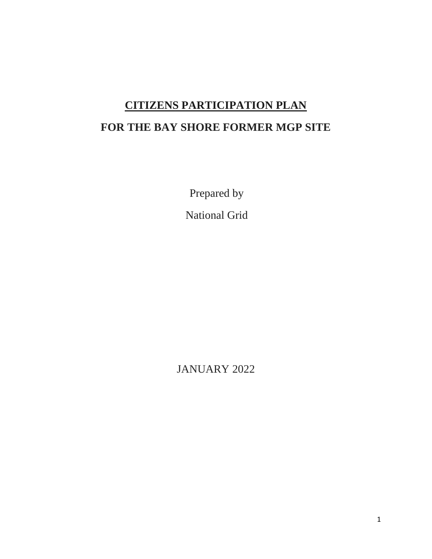# **CITIZENS PARTICIPATION PLAN**

# **FOR THE BAY SHORE FORMER MGP SITE**

Prepared by

National Grid

JANUARY 2022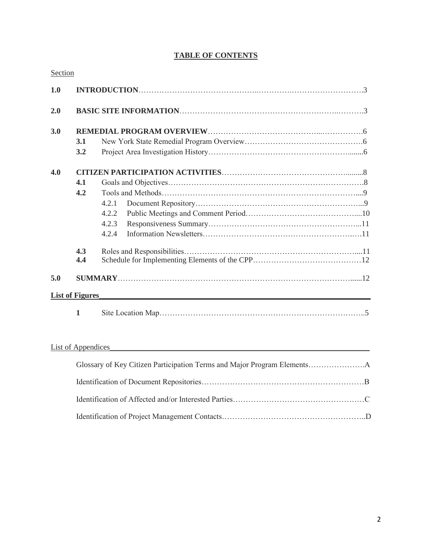## **TABLE OF CONTENTS**

| Section |                        |       |  |
|---------|------------------------|-------|--|
| 1.0     |                        |       |  |
| 2.0     |                        |       |  |
| 3.0     |                        |       |  |
|         | 3.1                    |       |  |
|         | 3.2                    |       |  |
| 4.0     |                        |       |  |
|         | 4.1                    |       |  |
|         | 4.2                    |       |  |
|         |                        | 4.2.1 |  |
|         |                        | 4.2.2 |  |
|         |                        | 4.2.3 |  |
|         |                        | 4.2.4 |  |
|         | 4.3                    |       |  |
|         | 4.4                    |       |  |
| 5.0     |                        |       |  |
|         | <b>List of Figures</b> |       |  |
|         | 1                      |       |  |

## List of Appendices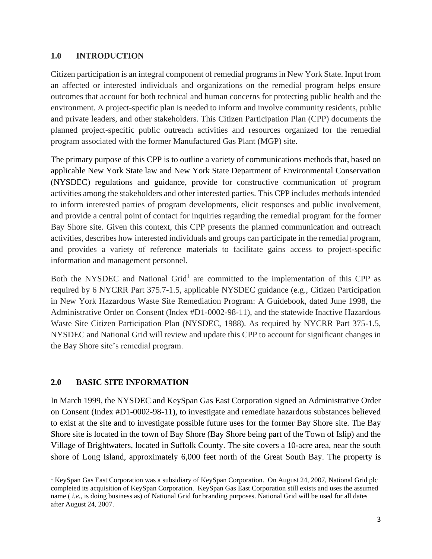### **1.0 INTRODUCTION**

Citizen participation is an integral component of remedial programs in New York State. Input from an affected or interested individuals and organizations on the remedial program helps ensure outcomes that account for both technical and human concerns for protecting public health and the environment. A project-specific plan is needed to inform and involve community residents, public and private leaders, and other stakeholders. This Citizen Participation Plan (CPP) documents the planned project-specific public outreach activities and resources organized for the remedial program associated with the former Manufactured Gas Plant (MGP) site.

The primary purpose of this CPP is to outline a variety of communications methods that, based on applicable New York State law and New York State Department of Environmental Conservation (NYSDEC) regulations and guidance, provide for constructive communication of program activities among the stakeholders and other interested parties. This CPP includes methods intended to inform interested parties of program developments, elicit responses and public involvement, and provide a central point of contact for inquiries regarding the remedial program for the former Bay Shore site. Given this context, this CPP presents the planned communication and outreach activities, describes how interested individuals and groups can participate in the remedial program, and provides a variety of reference materials to facilitate gains access to project-specific information and management personnel.

Both the NYSDEC and National Grid<sup>1</sup> are committed to the implementation of this CPP as required by 6 NYCRR Part 375.7-1.5, applicable NYSDEC guidance (e.g., Citizen Participation in New York Hazardous Waste Site Remediation Program: A Guidebook, dated June 1998, the Administrative Order on Consent (Index #D1-0002-98-11), and the statewide Inactive Hazardous Waste Site Citizen Participation Plan (NYSDEC, 1988). As required by NYCRR Part 375-1.5, NYSDEC and National Grid will review and update this CPP to account for significant changes in the Bay Shore site's remedial program.

## **2.0 BASIC SITE INFORMATION**

In March 1999, the NYSDEC and KeySpan Gas East Corporation signed an Administrative Order on Consent (Index #D1-0002-98-11), to investigate and remediate hazardous substances believed to exist at the site and to investigate possible future uses for the former Bay Shore site. The Bay Shore site is located in the town of Bay Shore (Bay Shore being part of the Town of Islip) and the Village of Brightwaters, located in Suffolk County. The site covers a 10-acre area, near the south shore of Long Island, approximately 6,000 feet north of the Great South Bay. The property is

<sup>1</sup> KeySpan Gas East Corporation was a subsidiary of KeySpan Corporation. On August 24, 2007, National Grid plc completed its acquisition of KeySpan Corporation. KeySpan Gas East Corporation still exists and uses the assumed name ( *i.e.,* is doing business as) of National Grid for branding purposes. National Grid will be used for all dates after August 24, 2007.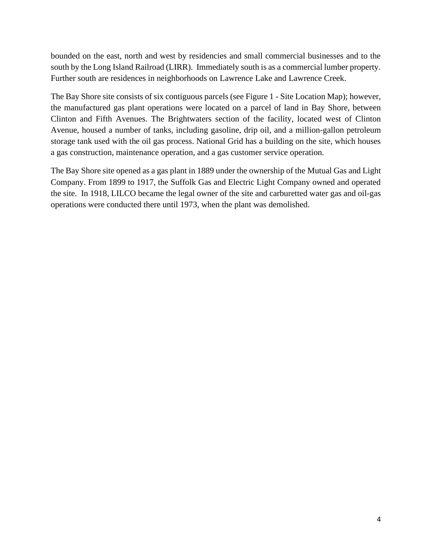bounded on the east, north and west by residencies and small commercial businesses and to the south by the Long Island Railroad (LIRR). Immediately south is as a commercial lumber property. Further south are residences in neighborhoods on Lawrence Lake and Lawrence Creek.

The Bay Shore site consists of six contiguous parcels (see Figure 1 - Site Location Map); however, the manufactured gas plant operations were located on a parcel of land in Bay Shore, between Clinton and Fifth Avenues. The Brightwaters section of the facility, located west of Clinton Avenue, housed a number of tanks, including gasoline, drip oil, and a million-gallon petroleum storage tank used with the oil gas process. National Grid has a building on the site, which houses a gas construction, maintenance operation, and a gas customer service operation.

The Bay Shore site opened as a gas plant in 1889 under the ownership of the Mutual Gas and Light Company. From 1899 to 1917, the Suffolk Gas and Electric Light Company owned and operated the site. In 1918, LILCO became the legal owner of the site and carburetted water gas and oil-gas operations were conducted there until 1973, when the plant was demolished.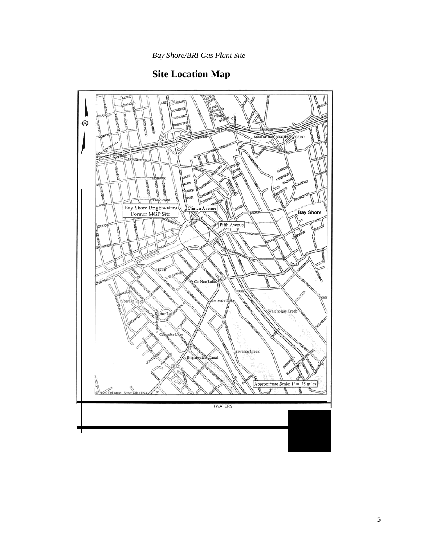## **Site Location Map**

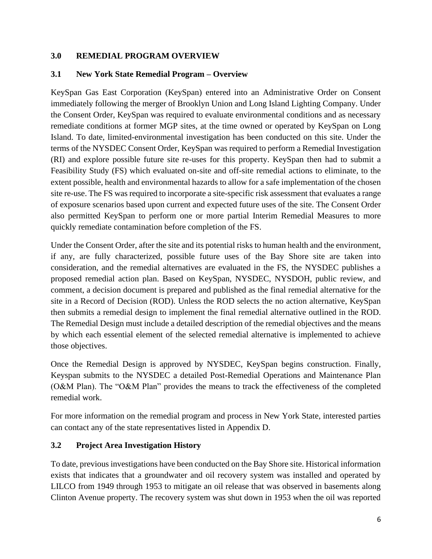## **3.0 REMEDIAL PROGRAM OVERVIEW**

## **3.1 New York State Remedial Program – Overview**

KeySpan Gas East Corporation (KeySpan) entered into an Administrative Order on Consent immediately following the merger of Brooklyn Union and Long Island Lighting Company. Under the Consent Order, KeySpan was required to evaluate environmental conditions and as necessary remediate conditions at former MGP sites, at the time owned or operated by KeySpan on Long Island. To date, limited-environmental investigation has been conducted on this site. Under the terms of the NYSDEC Consent Order, KeySpan was required to perform a Remedial Investigation (RI) and explore possible future site re-uses for this property. KeySpan then had to submit a Feasibility Study (FS) which evaluated on-site and off-site remedial actions to eliminate, to the extent possible, health and environmental hazards to allow for a safe implementation of the chosen site re-use. The FS was required to incorporate a site-specific risk assessment that evaluates a range of exposure scenarios based upon current and expected future uses of the site. The Consent Order also permitted KeySpan to perform one or more partial Interim Remedial Measures to more quickly remediate contamination before completion of the FS.

Under the Consent Order, after the site and its potential risks to human health and the environment, if any, are fully characterized, possible future uses of the Bay Shore site are taken into consideration, and the remedial alternatives are evaluated in the FS, the NYSDEC publishes a proposed remedial action plan. Based on KeySpan, NYSDEC, NYSDOH, public review, and comment, a decision document is prepared and published as the final remedial alternative for the site in a Record of Decision (ROD). Unless the ROD selects the no action alternative, KeySpan then submits a remedial design to implement the final remedial alternative outlined in the ROD. The Remedial Design must include a detailed description of the remedial objectives and the means by which each essential element of the selected remedial alternative is implemented to achieve those objectives.

Once the Remedial Design is approved by NYSDEC, KeySpan begins construction. Finally, Keyspan submits to the NYSDEC a detailed Post-Remedial Operations and Maintenance Plan (O&M Plan). The "O&M Plan" provides the means to track the effectiveness of the completed remedial work.

For more information on the remedial program and process in New York State, interested parties can contact any of the state representatives listed in Appendix D.

## **3.2 Project Area Investigation History**

To date, previous investigations have been conducted on the Bay Shore site. Historical information exists that indicates that a groundwater and oil recovery system was installed and operated by LILCO from 1949 through 1953 to mitigate an oil release that was observed in basements along Clinton Avenue property. The recovery system was shut down in 1953 when the oil was reported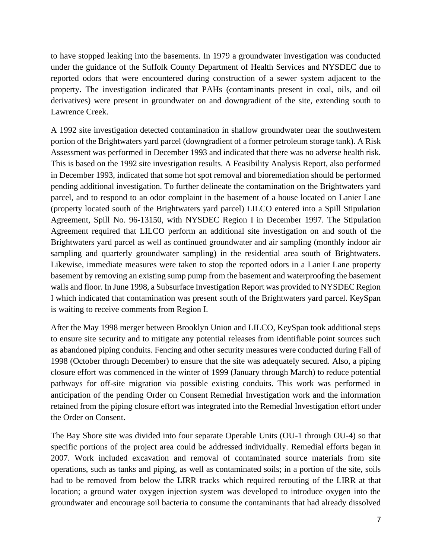to have stopped leaking into the basements. In 1979 a groundwater investigation was conducted under the guidance of the Suffolk County Department of Health Services and NYSDEC due to reported odors that were encountered during construction of a sewer system adjacent to the property. The investigation indicated that PAHs (contaminants present in coal, oils, and oil derivatives) were present in groundwater on and downgradient of the site, extending south to Lawrence Creek.

A 1992 site investigation detected contamination in shallow groundwater near the southwestern portion of the Brightwaters yard parcel (downgradient of a former petroleum storage tank). A Risk Assessment was performed in December 1993 and indicated that there was no adverse health risk. This is based on the 1992 site investigation results. A Feasibility Analysis Report, also performed in December 1993, indicated that some hot spot removal and bioremediation should be performed pending additional investigation. To further delineate the contamination on the Brightwaters yard parcel, and to respond to an odor complaint in the basement of a house located on Lanier Lane (property located south of the Brightwaters yard parcel) LILCO entered into a Spill Stipulation Agreement, Spill No. 96-13150, with NYSDEC Region I in December 1997. The Stipulation Agreement required that LILCO perform an additional site investigation on and south of the Brightwaters yard parcel as well as continued groundwater and air sampling (monthly indoor air sampling and quarterly groundwater sampling) in the residential area south of Brightwaters. Likewise, immediate measures were taken to stop the reported odors in a Lanier Lane property basement by removing an existing sump pump from the basement and waterproofing the basement walls and floor. In June 1998, a Subsurface Investigation Report was provided to NYSDEC Region I which indicated that contamination was present south of the Brightwaters yard parcel. KeySpan is waiting to receive comments from Region I.

After the May 1998 merger between Brooklyn Union and LILCO, KeySpan took additional steps to ensure site security and to mitigate any potential releases from identifiable point sources such as abandoned piping conduits. Fencing and other security measures were conducted during Fall of 1998 (October through December) to ensure that the site was adequately secured. Also, a piping closure effort was commenced in the winter of 1999 (January through March) to reduce potential pathways for off-site migration via possible existing conduits. This work was performed in anticipation of the pending Order on Consent Remedial Investigation work and the information retained from the piping closure effort was integrated into the Remedial Investigation effort under the Order on Consent.

The Bay Shore site was divided into four separate Operable Units (OU-1 through OU-4) so that specific portions of the project area could be addressed individually. Remedial efforts began in 2007. Work included excavation and removal of contaminated source materials from site operations, such as tanks and piping, as well as contaminated soils; in a portion of the site, soils had to be removed from below the LIRR tracks which required rerouting of the LIRR at that location; a ground water oxygen injection system was developed to introduce oxygen into the groundwater and encourage soil bacteria to consume the contaminants that had already dissolved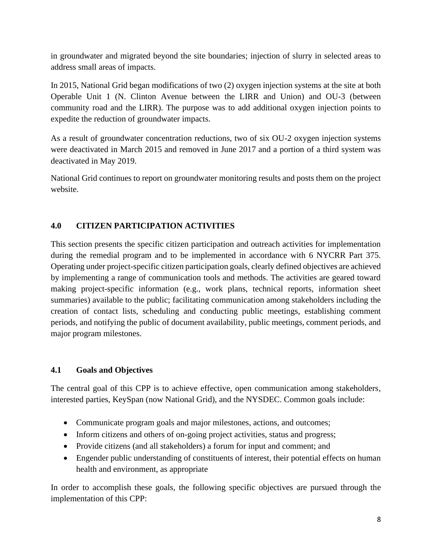in groundwater and migrated beyond the site boundaries; injection of slurry in selected areas to address small areas of impacts.

In 2015, National Grid began modifications of two (2) oxygen injection systems at the site at both Operable Unit 1 (N. Clinton Avenue between the LIRR and Union) and OU-3 (between community road and the LIRR). The purpose was to add additional oxygen injection points to expedite the reduction of groundwater impacts.

As a result of groundwater concentration reductions, two of six OU-2 oxygen injection systems were deactivated in March 2015 and removed in June 2017 and a portion of a third system was deactivated in May 2019.

National Grid continues to report on groundwater monitoring results and posts them on the project website.

## **4.0 CITIZEN PARTICIPATION ACTIVITIES**

This section presents the specific citizen participation and outreach activities for implementation during the remedial program and to be implemented in accordance with 6 NYCRR Part 375. Operating under project-specific citizen participation goals, clearly defined objectives are achieved by implementing a range of communication tools and methods. The activities are geared toward making project-specific information (e.g., work plans, technical reports, information sheet summaries) available to the public; facilitating communication among stakeholders including the creation of contact lists, scheduling and conducting public meetings, establishing comment periods, and notifying the public of document availability, public meetings, comment periods, and major program milestones.

## **4.1 Goals and Objectives**

The central goal of this CPP is to achieve effective, open communication among stakeholders, interested parties, KeySpan (now National Grid), and the NYSDEC. Common goals include:

- Communicate program goals and major milestones, actions, and outcomes;
- Inform citizens and others of on-going project activities, status and progress;
- Provide citizens (and all stakeholders) a forum for input and comment; and
- Engender public understanding of constituents of interest, their potential effects on human health and environment, as appropriate

In order to accomplish these goals, the following specific objectives are pursued through the implementation of this CPP: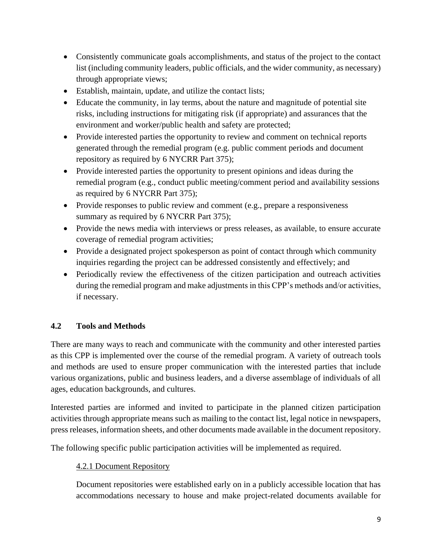- Consistently communicate goals accomplishments, and status of the project to the contact list (including community leaders, public officials, and the wider community, as necessary) through appropriate views;
- Establish, maintain, update, and utilize the contact lists;
- Educate the community, in lay terms, about the nature and magnitude of potential site risks, including instructions for mitigating risk (if appropriate) and assurances that the environment and worker/public health and safety are protected;
- Provide interested parties the opportunity to review and comment on technical reports generated through the remedial program (e.g. public comment periods and document repository as required by 6 NYCRR Part 375);
- Provide interested parties the opportunity to present opinions and ideas during the remedial program (e.g., conduct public meeting/comment period and availability sessions as required by 6 NYCRR Part 375);
- Provide responses to public review and comment (e.g., prepare a responsiveness summary as required by 6 NYCRR Part 375);
- Provide the news media with interviews or press releases, as available, to ensure accurate coverage of remedial program activities;
- Provide a designated project spokesperson as point of contact through which community inquiries regarding the project can be addressed consistently and effectively; and
- Periodically review the effectiveness of the citizen participation and outreach activities during the remedial program and make adjustments in this CPP's methods and/or activities, if necessary.

### **4.2 Tools and Methods**

There are many ways to reach and communicate with the community and other interested parties as this CPP is implemented over the course of the remedial program. A variety of outreach tools and methods are used to ensure proper communication with the interested parties that include various organizations, public and business leaders, and a diverse assemblage of individuals of all ages, education backgrounds, and cultures.

Interested parties are informed and invited to participate in the planned citizen participation activities through appropriate means such as mailing to the contact list, legal notice in newspapers, press releases, information sheets, and other documents made available in the document repository.

The following specific public participation activities will be implemented as required.

#### 4.2.1 Document Repository

Document repositories were established early on in a publicly accessible location that has accommodations necessary to house and make project-related documents available for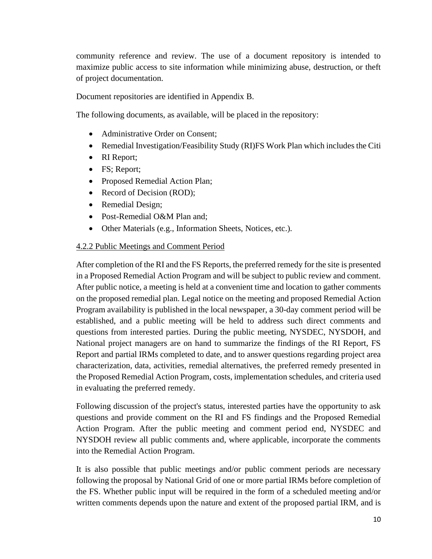community reference and review. The use of a document repository is intended to maximize public access to site information while minimizing abuse, destruction, or theft of project documentation.

Document repositories are identified in Appendix B.

The following documents, as available, will be placed in the repository:

- Administrative Order on Consent:
- Remedial Investigation/Feasibility Study (RI)FS Work Plan which includes the Citi
- RI Report;
- FS; Report;
- Proposed Remedial Action Plan;
- Record of Decision (ROD);
- Remedial Design;
- Post-Remedial O&M Plan and;
- Other Materials (e.g., Information Sheets, Notices, etc.).

#### 4.2.2 Public Meetings and Comment Period

After completion of the RI and the FS Reports, the preferred remedy for the site is presented in a Proposed Remedial Action Program and will be subject to public review and comment. After public notice, a meeting is held at a convenient time and location to gather comments on the proposed remedial plan. Legal notice on the meeting and proposed Remedial Action Program availability is published in the local newspaper, a 30-day comment period will be established, and a public meeting will be held to address such direct comments and questions from interested parties. During the public meeting, NYSDEC, NYSDOH, and National project managers are on hand to summarize the findings of the RI Report, FS Report and partial IRMs completed to date, and to answer questions regarding project area characterization, data, activities, remedial alternatives, the preferred remedy presented in the Proposed Remedial Action Program, costs, implementation schedules, and criteria used in evaluating the preferred remedy.

Following discussion of the project's status, interested parties have the opportunity to ask questions and provide comment on the RI and FS findings and the Proposed Remedial Action Program. After the public meeting and comment period end, NYSDEC and NYSDOH review all public comments and, where applicable, incorporate the comments into the Remedial Action Program.

It is also possible that public meetings and/or public comment periods are necessary following the proposal by National Grid of one or more partial IRMs before completion of the FS. Whether public input will be required in the form of a scheduled meeting and/or written comments depends upon the nature and extent of the proposed partial IRM, and is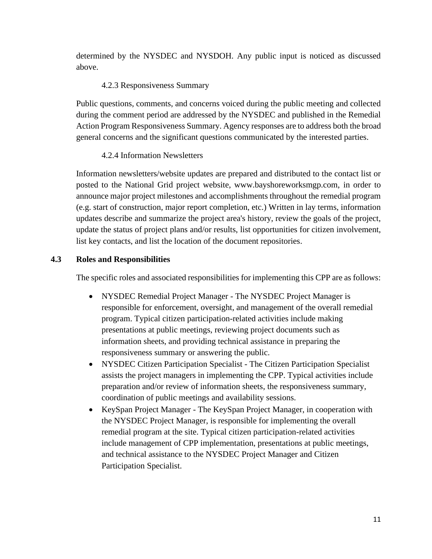determined by the NYSDEC and NYSDOH. Any public input is noticed as discussed above.

## 4.2.3 Responsiveness Summary

Public questions, comments, and concerns voiced during the public meeting and collected during the comment period are addressed by the NYSDEC and published in the Remedial Action Program Responsiveness Summary. Agency responses are to address both the broad general concerns and the significant questions communicated by the interested parties.

## 4.2.4 Information Newsletters

Information newsletters/website updates are prepared and distributed to the contact list or posted to the National Grid project website, www.bayshoreworksmgp.com, in order to announce major project milestones and accomplishments throughout the remedial program (e.g. start of construction, major report completion, etc.) Written in lay terms, information updates describe and summarize the project area's history, review the goals of the project, update the status of project plans and/or results, list opportunities for citizen involvement, list key contacts, and list the location of the document repositories.

## **4.3 Roles and Responsibilities**

The specific roles and associated responsibilities for implementing this CPP are as follows:

- NYSDEC Remedial Project Manager The NYSDEC Project Manager is responsible for enforcement, oversight, and management of the overall remedial program. Typical citizen participation-related activities include making presentations at public meetings, reviewing project documents such as information sheets, and providing technical assistance in preparing the responsiveness summary or answering the public.
- NYSDEC Citizen Participation Specialist The Citizen Participation Specialist assists the project managers in implementing the CPP. Typical activities include preparation and/or review of information sheets, the responsiveness summary, coordination of public meetings and availability sessions.
- KeySpan Project Manager The KeySpan Project Manager, in cooperation with the NYSDEC Project Manager, is responsible for implementing the overall remedial program at the site. Typical citizen participation-related activities include management of CPP implementation, presentations at public meetings, and technical assistance to the NYSDEC Project Manager and Citizen Participation Specialist.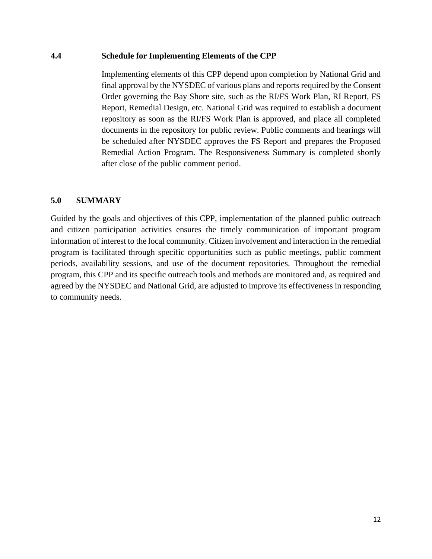#### **4.4 Schedule for Implementing Elements of the CPP**

Implementing elements of this CPP depend upon completion by National Grid and final approval by the NYSDEC of various plans and reports required by the Consent Order governing the Bay Shore site, such as the RI/FS Work Plan, RI Report, FS Report, Remedial Design, etc. National Grid was required to establish a document repository as soon as the RI/FS Work Plan is approved, and place all completed documents in the repository for public review. Public comments and hearings will be scheduled after NYSDEC approves the FS Report and prepares the Proposed Remedial Action Program. The Responsiveness Summary is completed shortly after close of the public comment period.

#### **5.0 SUMMARY**

Guided by the goals and objectives of this CPP, implementation of the planned public outreach and citizen participation activities ensures the timely communication of important program information of interest to the local community. Citizen involvement and interaction in the remedial program is facilitated through specific opportunities such as public meetings, public comment periods, availability sessions, and use of the document repositories. Throughout the remedial program, this CPP and its specific outreach tools and methods are monitored and, as required and agreed by the NYSDEC and National Grid, are adjusted to improve its effectiveness in responding to community needs.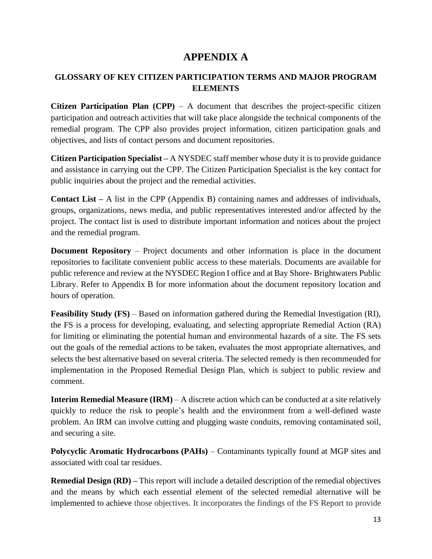## **APPENDIX A**

## **GLOSSARY OF KEY CITIZEN PARTICIPATION TERMS AND MAJOR PROGRAM ELEMENTS**

**Citizen Participation Plan (CPP)** – A document that describes the project-specific citizen participation and outreach activities that will take place alongside the technical components of the remedial program. The CPP also provides project information, citizen participation goals and objectives, and lists of contact persons and document repositories.

**Citizen Participation Specialist –** A NYSDEC staff member whose duty it is to provide guidance and assistance in carrying out the CPP. The Citizen Participation Specialist is the key contact for public inquiries about the project and the remedial activities.

**Contact List –** A list in the CPP (Appendix B) containing names and addresses of individuals, groups, organizations, news media, and public representatives interested and/or affected by the project. The contact list is used to distribute important information and notices about the project and the remedial program.

**Document Repository** – Project documents and other information is place in the document repositories to facilitate convenient public access to these materials. Documents are available for public reference and review at the NYSDEC Region I office and at Bay Shore- Brightwaters Public Library. Refer to Appendix B for more information about the document repository location and hours of operation.

**Feasibility Study (FS)** – Based on information gathered during the Remedial Investigation (RI), the FS is a process for developing, evaluating, and selecting appropriate Remedial Action (RA) for limiting or eliminating the potential human and environmental hazards of a site. The FS sets out the goals of the remedial actions to be taken, evaluates the most appropriate alternatives, and selects the best alternative based on several criteria. The selected remedy is then recommended for implementation in the Proposed Remedial Design Plan, which is subject to public review and comment.

**Interim Remedial Measure (IRM)** – A discrete action which can be conducted at a site relatively quickly to reduce the risk to people's health and the environment from a well-defined waste problem. An IRM can involve cutting and plugging waste conduits, removing contaminated soil, and securing a site.

**Polycyclic Aromatic Hydrocarbons (PAHs)** – Contaminants typically found at MGP sites and associated with coal tar residues.

**Remedial Design (RD) –** This report will include a detailed description of the remedial objectives and the means by which each essential element of the selected remedial alternative will be implemented to achieve those objectives. It incorporates the findings of the FS Report to provide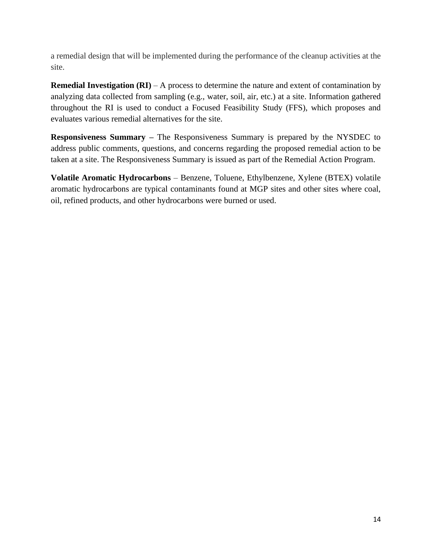a remedial design that will be implemented during the performance of the cleanup activities at the site.

**Remedial Investigation (RI)** – A process to determine the nature and extent of contamination by analyzing data collected from sampling (e.g., water, soil, air, etc.) at a site. Information gathered throughout the RI is used to conduct a Focused Feasibility Study (FFS), which proposes and evaluates various remedial alternatives for the site.

**Responsiveness Summary –** The Responsiveness Summary is prepared by the NYSDEC to address public comments, questions, and concerns regarding the proposed remedial action to be taken at a site. The Responsiveness Summary is issued as part of the Remedial Action Program.

**Volatile Aromatic Hydrocarbons** – Benzene, Toluene, Ethylbenzene, Xylene (BTEX) volatile aromatic hydrocarbons are typical contaminants found at MGP sites and other sites where coal, oil, refined products, and other hydrocarbons were burned or used.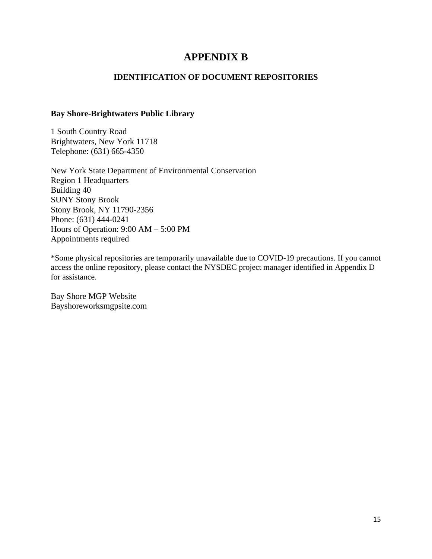## **APPENDIX B**

### **IDENTIFICATION OF DOCUMENT REPOSITORIES**

#### **Bay Shore-Brightwaters Public Library**

1 South Country Road Brightwaters, New York 11718 Telephone: (631) 665-4350

New York State Department of Environmental Conservation Region 1 Headquarters Building 40 SUNY Stony Brook Stony Brook, NY 11790-2356 Phone: (631) 444-0241 Hours of Operation: 9:00 AM – 5:00 PM Appointments required

\*Some physical repositories are temporarily unavailable due to COVID-19 precautions. If you cannot access the online repository, please contact the NYSDEC project manager identified in Appendix D for assistance.

Bay Shore MGP Website Bayshoreworksmgpsite.com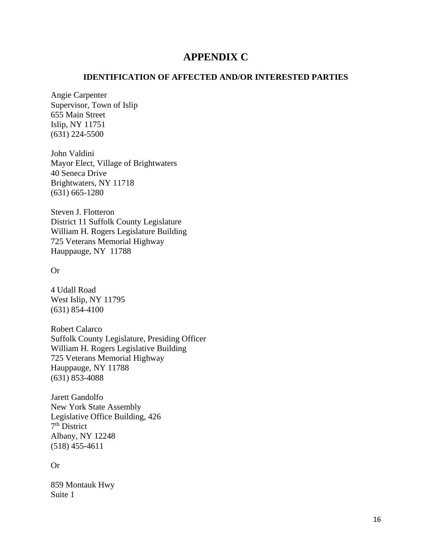## **APPENDIX C**

#### **IDENTIFICATION OF AFFECTED AND/OR INTERESTED PARTIES**

Angie Carpenter Supervisor, Town of Islip 655 Main Street Islip, NY 11751 (631) 224-5500

John Valdini Mayor Elect, Village of Brightwaters 40 Seneca Drive Brightwaters, NY 11718 (631) 665-1280

Steven J. Flotteron District 11 Suffolk County Legislature William H. Rogers Legislature Building 725 Veterans Memorial Highway Hauppauge, NY 11788

Or

4 Udall Road West Islip, NY 11795 (631) 854-4100

Robert Calarco Suffolk County Legislature, Presiding Officer William H. Rogers Legislative Building 725 Veterans Memorial Highway Hauppauge, NY 11788 (631) 853-4088

Jarett Gandolfo New York State Assembly Legislative Office Building, 426 7<sup>th</sup> District Albany, NY 12248 (518) 455-4611

Or

859 Montauk Hwy Suite 1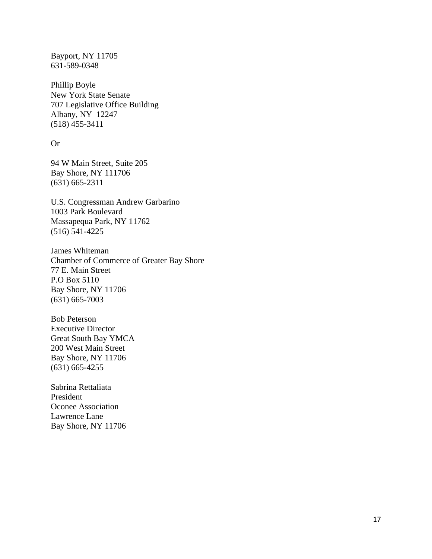Bayport, NY 11705 631-589-0348

Phillip Boyle New York State Senate 707 Legislative Office Building Albany, NY 12247 (518) 455-3411

#### Or

94 W Main Street, Suite 205 Bay Shore, NY 111706 (631) 665-2311

U.S. Congressman Andrew Garbarino 1003 Park Boulevard Massapequa Park, NY 11762 (516) 541-4225

James Whiteman Chamber of Commerce of Greater Bay Shore 77 E. Main Street P.O Box 5110 Bay Shore, NY 11706 (631) 665-7003

Bob Peterson Executive Director Great South Bay YMCA 200 West Main Street Bay Shore, NY 11706 (631) 665-4255

Sabrina Rettaliata President Oconee Association Lawrence Lane Bay Shore, NY 11706